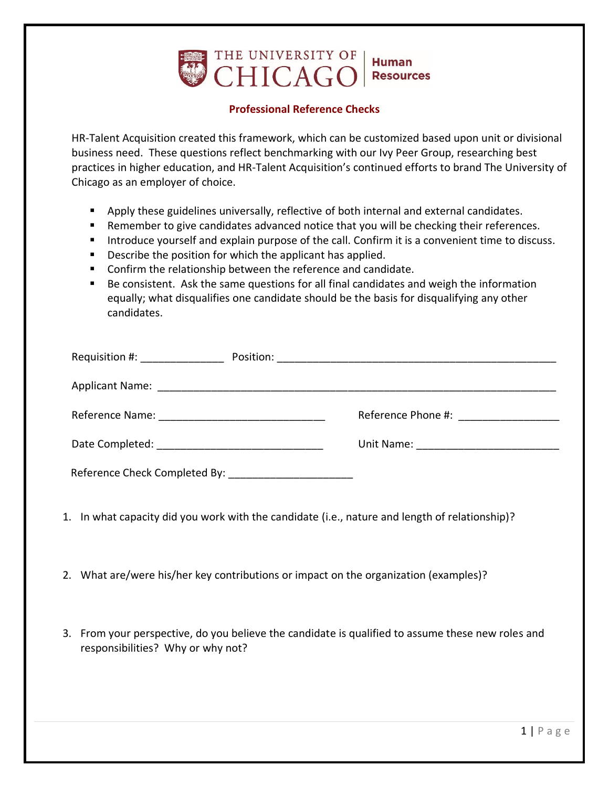

## **Professional Reference Checks**

HR-Talent Acquisition created this framework, which can be customized based upon unit or divisional business need. These questions reflect benchmarking with our Ivy Peer Group, researching best practices in higher education, and HR-Talent Acquisition's continued efforts to brand The University of Chicago as an employer of choice.

- Apply these guidelines universally, reflective of both internal and external candidates.
- Remember to give candidates advanced notice that you will be checking their references.
- Introduce yourself and explain purpose of the call. Confirm it is a convenient time to discuss.
- Describe the position for which the applicant has applied.
- Confirm the relationship between the reference and candidate.
- Be consistent. Ask the same questions for all final candidates and weigh the information equally; what disqualifies one candidate should be the basis for disqualifying any other candidates.

| Requisition #: ________________                   |  |                                       |
|---------------------------------------------------|--|---------------------------------------|
|                                                   |  |                                       |
|                                                   |  |                                       |
|                                                   |  | Unit Name: __________________________ |
| Reference Check Completed By: Notice Theorem 2014 |  |                                       |

- 1. In what capacity did you work with the candidate (i.e., nature and length of relationship)?
- 2. What are/were his/her key contributions or impact on the organization (examples)?
- 3. From your perspective, do you believe the candidate is qualified to assume these new roles and responsibilities? Why or why not?